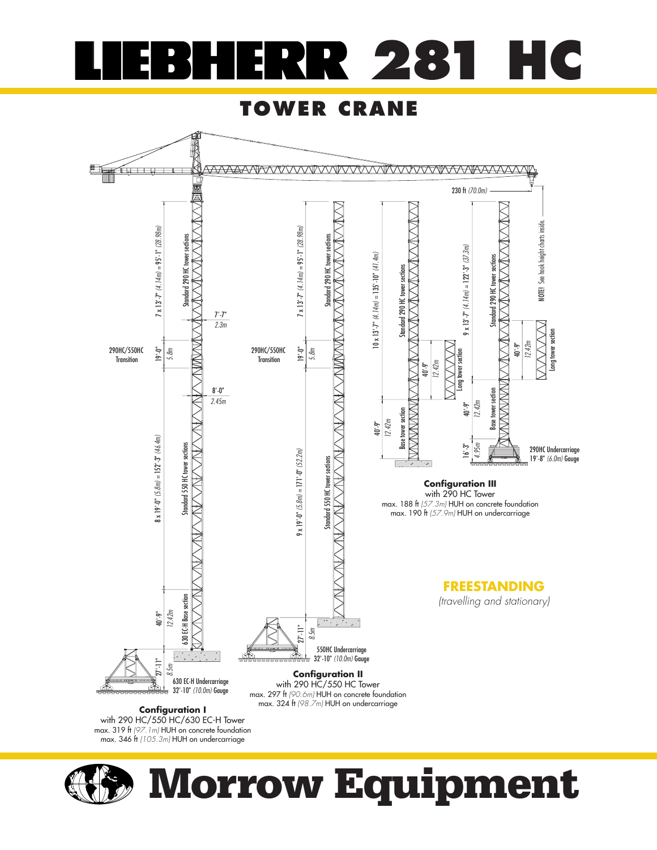

## **TOWER CRANE**



**Configuration I** with 290 HC/550 HC/630 EC-H Tower max. 319 ft (97.1m) HUH on concrete foundation<br>max. 346 ft (105.3m) HUH on undercarriage



# **Morrow Equipment**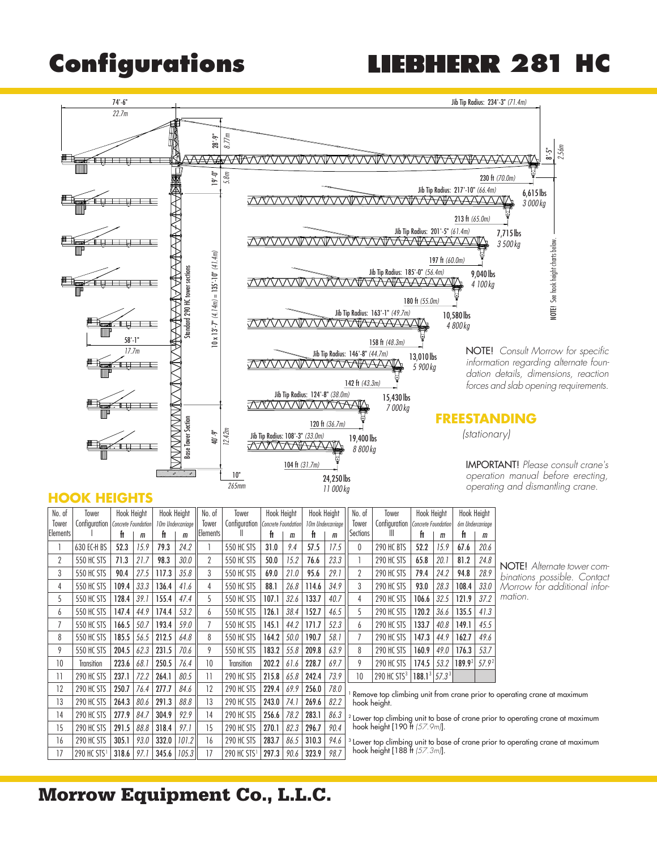## **Configurations 281 HC**



### **HOOK HEIGHTS**

| No. of           | Tower                   |                                     | Hook Height<br>Hook Height |                   | No. of<br>Tower |                  | Hook Height             |       | Hook Height                         |       | No. of            | Tower                                                                                                                                                                                | Hook Height             |                     | Hook Height |        |                   |                                                                                           |  |  |  |
|------------------|-------------------------|-------------------------------------|----------------------------|-------------------|-----------------|------------------|-------------------------|-------|-------------------------------------|-------|-------------------|--------------------------------------------------------------------------------------------------------------------------------------------------------------------------------------|-------------------------|---------------------|-------------|--------|-------------------|-------------------------------------------------------------------------------------------|--|--|--|
| Tower            |                         | Configuration   Concrete Foundation |                            | 10m Undercarriage |                 | Tower            |                         |       | Configuration   Concrete Foundation |       | 10m Undercarriage |                                                                                                                                                                                      | Configuration           | Concrete Foundation |             |        | 6m Undercarriage  |                                                                                           |  |  |  |
| <b>IElements</b> |                         | ft                                  | m                          | ft                | m               | <b>IElements</b> |                         | ft    | m                                   | ft    | $\mathbf{m}$      | Sections                                                                                                                                                                             |                         | ft                  | m           | ft     | m                 |                                                                                           |  |  |  |
|                  | 630 EC-H BS             | 52.3                                | 15.9                       | 79.3              | 24.2            |                  | <b>550 HC STS</b>       | 31.0  | 9.4                                 | 57.5  | 17.5              | 0                                                                                                                                                                                    | 290 HC BTS              | 52.2                | 15.9        | 67.6   | 20.6              |                                                                                           |  |  |  |
| 2                | <b>550 HC STS</b>       | 71.3                                | 21.7                       | 98.3              | 30.0            | 2                | 550 HC STS              | 50.0  | 15.2                                | 76.6  | 23.3              |                                                                                                                                                                                      | 290 HC STS              | 65.8                | 20.1        | 81.2   | 24.8              | NOTE! Alternate tower co                                                                  |  |  |  |
| 3                | 550 HC STS              | 90.4                                | 27.5                       | 117.3             | 35.8            | 3                | 550 HC STS              | 69.0  | 21.0                                | 95.6  | 29.1              | $\overline{2}$                                                                                                                                                                       | 290 HC STS              | 79.4                | 24.2        | 94.8   | 28.9              | binations possible. Conte                                                                 |  |  |  |
| 4                | <b>550 HC STS</b>       | 109.4                               | 33.3                       | 136.4             | 41.6            | 4                | 550 HC STS              | 88.1  | 26.8                                | 114.6 | 34.9              | 3                                                                                                                                                                                    | 290 HC STS              | 93.0                | 28.3        | 108.4  | 33.0              | Morrow for additional int                                                                 |  |  |  |
| 5                | <b>550 HC STS</b>       | 128.4                               | 39.1                       | 155.4             | 47.4            | 5                | 550 HC STS              | 107.1 | 32.6                                | 133.7 | 40.7              | 4                                                                                                                                                                                    | 290 HC STS              | 106.6               | 32.5        | 121.9  | 37.2              | mation.                                                                                   |  |  |  |
| 6                | <b>550 HC STS</b>       | 147.4                               | 44.9                       | 174.4             | 53.2            | 6                | <b>550 HC STS</b>       | 126.1 | 38.4                                | 152.7 | 46.5              | 5                                                                                                                                                                                    | 290 HC STS              | 120.2               | 36.6        | 135.5  | 41.3              |                                                                                           |  |  |  |
| 7                | <b>550 HC STS</b>       | 166.5                               | 50.7                       | 193.4             | 59.0            |                  | <b>550 HC STS</b>       | 145.1 | 44.2                                | 171.7 | 52.3              | b                                                                                                                                                                                    | 290 HC STS              | 133.7               | 40.8        | 149.1  | 45.5              |                                                                                           |  |  |  |
| 8                | 550 HC STS              | 185.5                               | 56.5                       | 212.5             | 64.8            | 8                | <b>550 HC STS</b>       | 164.2 | 50.0                                | 190.7 | 58.1              |                                                                                                                                                                                      | 290 HC STS              | 147.3               | 44.9        | 162.7  | 49.6              |                                                                                           |  |  |  |
| 9                | <b>550 HC STS</b>       | 204.5                               | 62.3                       | 231.5             | 70.6            | 9                | <b>550 HC STS</b>       | 183.2 | 55.8                                | 209.8 | 63.9              | 8                                                                                                                                                                                    | 290 HC STS              | 160.9               | 49.0        | 176.3  | 53.7              |                                                                                           |  |  |  |
| 10               | Transition              | 223.6                               | 68.                        | 250.5             | 76.4            | 10               | <b>Transition</b>       | 202.2 | 61.6                                | 228.7 | 69.7              | 9                                                                                                                                                                                    | 290 HC STS              | 174.5               | 53.2        | 189.92 | 57.9 <sup>2</sup> |                                                                                           |  |  |  |
| 11               | 290 HC STS              | 237.1                               | 72.2                       | 264.1             | 80.5            | 11               | 290 HC STS              | 215.8 | 65.8                                | 242.4 | 73.9              | 10                                                                                                                                                                                   | 290 HC STS <sup>3</sup> | $188.1^3   57.3^3 $ |             |        |                   |                                                                                           |  |  |  |
| 12               | 290 HC STS              | 250.7                               | 76.4                       | 277.7             | 84.6            | 12               | 290 HC STS              | 229.4 | 69.9                                | 256.0 | 78.0              |                                                                                                                                                                                      |                         |                     |             |        |                   |                                                                                           |  |  |  |
| 13               | 290 HC STS              | 264.3                               | 80.6                       | 291.3             | 88.8            | 13               | 290 HC STS              | 243.0 | 74.1                                | 269.6 | 82.2              | Remove top climbing unit from crane prior to operating crane at maximum<br>hook height.<br><sup>2</sup> Lower top climbing unit to base of crane prior to operating crane at maximum |                         |                     |             |        |                   |                                                                                           |  |  |  |
| 14               | 290 HC STS              | 277.9                               | 84.7                       | 304.9             | 92.9            | 14               | 290 HC STS              | 256.6 | 78.2                                | 283.1 | 86.3              |                                                                                                                                                                                      |                         |                     |             |        |                   |                                                                                           |  |  |  |
| 15               | 290 HC STS              | 291.5                               | 88.8                       | 318.4             | 97.1            | 15               | 290 HC STS              | 270.1 | 82.3                                | 296.7 | 90.4              | hook height $[190 \text{ ft } 57.9 \text{ m}$ ].                                                                                                                                     |                         |                     |             |        |                   |                                                                                           |  |  |  |
| 16               | 290 HC STS              | 305.1                               | 93.0                       | 332.0             | 101.2           | 16               | 290 HC STS              | 283.7 | 86.5                                | 310.3 | 94.6              |                                                                                                                                                                                      |                         |                     |             |        |                   | <sup>3</sup> Lower top climbing unit to base of crane prior to operating crane at maximum |  |  |  |
| 17               | 290 HC STS <sup>1</sup> | 318.6                               | 97.1                       | 345.6             | 105.3           | 17               | 290 HC STS <sup>1</sup> | 297.3 | 90.6                                | 323.9 | 98.7              | hook height [188 ft $(57.3m)$ ].                                                                                                                                                     |                         |                     |             |        |                   |                                                                                           |  |  |  |

NOTE! Alternate tower combinations possible. Contact Morrow for additional information.

## **Morrow Equipment Co., L.L.C.**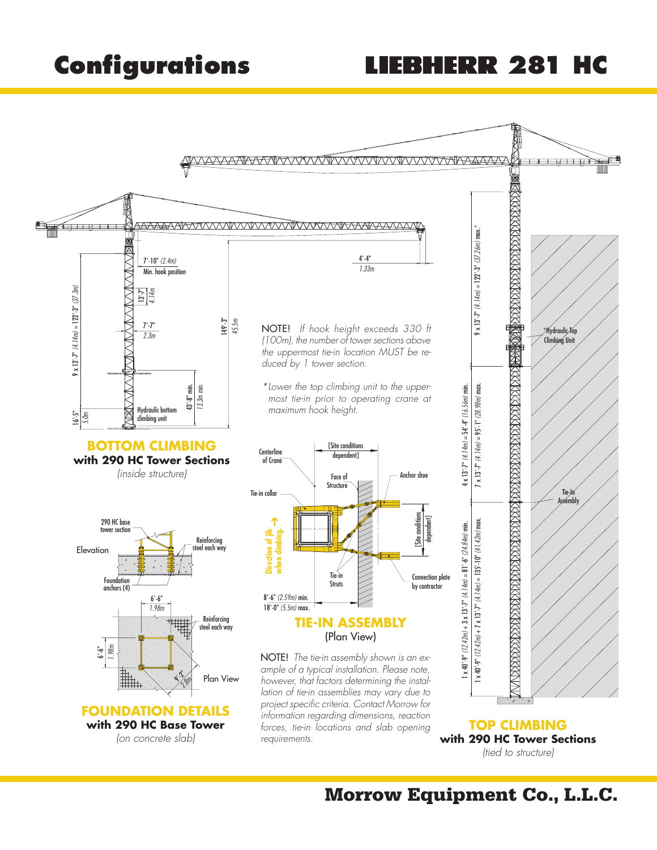## **Configurations 281 HC**



**Morrow Equipment Co., L.L.C.**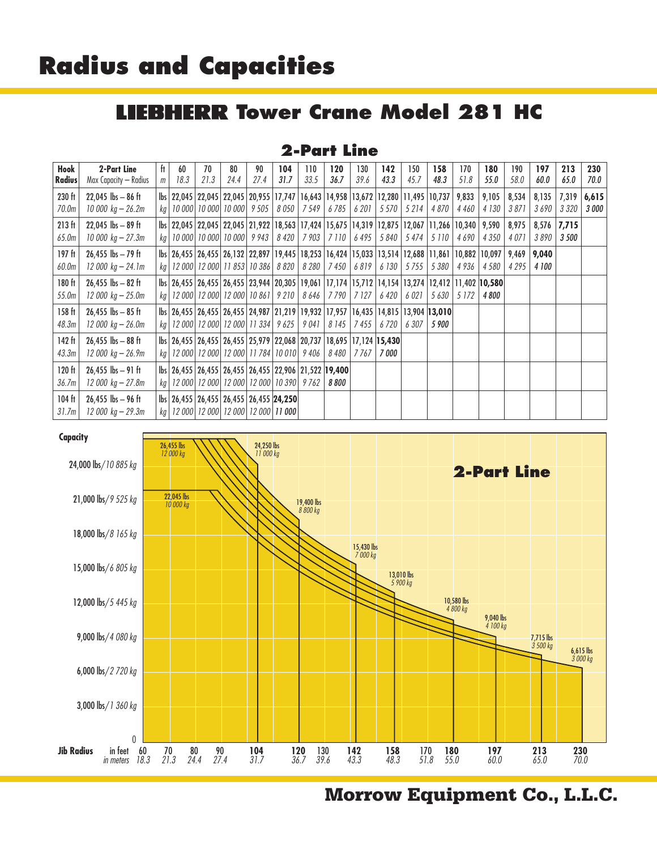## **Radius and Capacities**

#### **IEBHERR Tower Crane Model 281 HC** Ш

### **2-Part Line**

| Hook          | 2-Part Line           | ft. | 60                                                                                                                       | 70   | 80   | 90   | 104  | 110                           | 120                   | 130           | 142   | 150           | 158     | 170     | 180          | 190     | 197   | 213           | 230          |
|---------------|-----------------------|-----|--------------------------------------------------------------------------------------------------------------------------|------|------|------|------|-------------------------------|-----------------------|---------------|-------|---------------|---------|---------|--------------|---------|-------|---------------|--------------|
| <b>Radius</b> | Max Capacity — Radius | m   | 18.3                                                                                                                     | 21.3 | 24.4 | 27.4 | 31.7 | 33.5                          | 36.7                  | 39.6          | 43.3  | 45.7          | 48.3    | 51.8    | 55.0         | 58.0    | 60.0  | 65.0          | 70.O         |
| 230 ft        | $22,045$ lbs $-86$ ft |     | lbs   22,045   22,045   22,045   20,955   17,747   16,643   14,958   13,672   12,280   11,495   10,737   9,833           |      |      |      |      |                               |                       |               |       |               |         |         | 9,105        | 8,534   | 8,135 | 7,319         | 6,615        |
| 70.0m         | 10 000 kg – 26.2m     |     | kg   10 000   10 000   10 000   9 505                                                                                    |      |      |      |      | 8 050   7 549   6 785   6 201 |                       |               |       | 5 570   5 214 | 4 870   | 4 460   | 4 130        | 3871    | 3690  | 3 3 2 0       | <b>3 000</b> |
| 213 ft        | $22,045$ lbs $-89$ ft |     | lbs 22,045 22,045 22,045 21,922 18,563 17,424 15,675 14,319 12,875 12,067 11,266 10,340 9,590                            |      |      |      |      |                               |                       |               |       |               |         |         |              | 8,975   |       | $8,576$ 7,715 |              |
| 65.0m         | 10 000 $kg - 27.3m$   |     | kg   10 000   10 000   10 000   9 943                                                                                    |      |      |      |      | 8 420   7 903   7 110   6 495 |                       |               |       | 5 840 5 474   | 5 1 1 0 | 4690    | 4 350        | 4 0 7 1 | 3 890 | <i>3 500</i>  |              |
| 197 ft        | $26,455$ lbs $-79$ ft |     | lbs 26,455 26,455 26,132 22,897 19,445 18,253 16,424 15,033 13,514 12,688 11,861 10,882 10,097 9,469                     |      |      |      |      |                               |                       |               |       |               |         |         |              |         | 9,040 |               |              |
| 60.0m         | $12000 kg - 24.1m$    |     | kg   12 000   12 000   11 853   10 386   8 820                                                                           |      |      |      |      |                               | 8 280   7 450   6 819 |               | 6 130 | 5 7 5 5       | 5 380   | 4 9 36  | 4 5 8 0      | 4 2 9 5 | 4 100 |               |              |
| 180 ft        | $26,455$ lbs $-82$ ft |     | lbs   26,455   26,455   26,455   23,944   20,305   19,061   17,174   15,712   14,154   13,274   12,412   11,402   10,580 |      |      |      |      |                               |                       |               |       |               |         |         |              |         |       |               |              |
| 55.0m         | $12000 kg - 25.0m$    |     | kg   12 000   12 000   12 000   10 861   9 210   8 646   7 790   7 127                                                   |      |      |      |      |                               |                       |               | 6420  | 6 02 1        | 5 630   | 5 1 7 2 | <i>4 800</i> |         |       |               |              |
| 158 ft        | $26,455$ lbs $-85$ ft |     | lbs 26,455 26,455 26,455 24,987 21,219 19,932 17,957 16,435 14,815 13,904 13,010                                         |      |      |      |      |                               |                       |               |       |               |         |         |              |         |       |               |              |
| 48.3m         | $12000 kg - 26.0m$    |     | kg   12 000   12 000   12 000   11 334   9 625   9 041                                                                   |      |      |      |      |                               |                       | 8 145   7 455 | 6720  | 6 307         | 5 900   |         |              |         |       |               |              |
| 142 ft        | $26,455$ lbs $-88$ ft |     | lbs 26,455 26,455 26,455 25,979 22,068 20,737 18,695 17,124 15,430                                                       |      |      |      |      |                               |                       |               |       |               |         |         |              |         |       |               |              |
| 43.3m         | 12 000 kg – 26.9m     |     | kg   12 000   12 000   12 000   11 784   10 010   9 406   8 480   7 767                                                  |      |      |      |      |                               |                       |               | 7 000 |               |         |         |              |         |       |               |              |
| 120 ft        | $26,455$ lbs $-91$ ft |     | lbs 26,455   26,455   26,455   26,455   22,906   21,522   19,400                                                         |      |      |      |      |                               |                       |               |       |               |         |         |              |         |       |               |              |
| 36.7m         | 12 000 kg – 27.8m     |     | kg   12 000   12 000   12 000   12 000   10 390   9 762                                                                  |      |      |      |      |                               | 8 800                 |               |       |               |         |         |              |         |       |               |              |
| 104 ft        | $26,455$ lbs $-96$ ft |     | lbs   26,455   26,455   26,455   26,455   24,250                                                                         |      |      |      |      |                               |                       |               |       |               |         |         |              |         |       |               |              |
| 31.7m         | 12 000 kg – 29.3m     |     | kg   12 000   12 000   12 000   12 000   <b>11 000</b>                                                                   |      |      |      |      |                               |                       |               |       |               |         |         |              |         |       |               |              |



**Morrow Equipment Co., L.L.C.**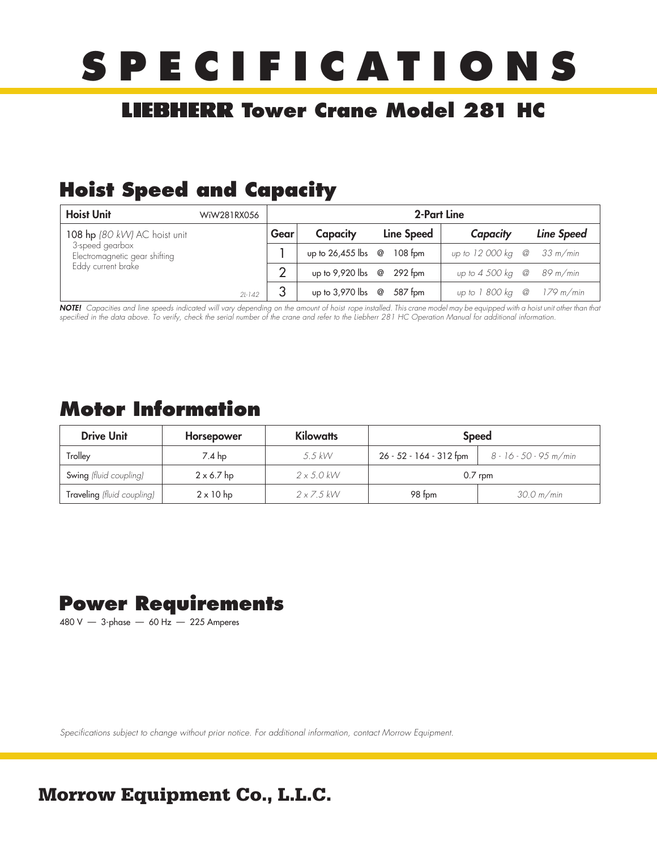# **SPECIFICATIONS**

## **LIEBHERR Tower Crane Model 281 HC**

## **Hoist Speed and Capacity**

| <b>Hoist Unit</b>                                | WiW281RX056 |      | 2-Part Line               |  |                   |                                   |  |            |  |
|--------------------------------------------------|-------------|------|---------------------------|--|-------------------|-----------------------------------|--|------------|--|
| 108 hp (80 kW) AC hoist unit                     |             | Gear | Capacity                  |  | <b>Line Speed</b> | Capacity                          |  | Line Speed |  |
| 3-speed gearbox<br>Electromagnetic gear shifting |             |      | up to $26,455$ lbs @      |  | $108$ fom         | up to $12000 \text{ kg}$ @        |  | 33 m/min   |  |
| Eddy current brake                               |             | ◠    | up to 9,920 lbs @ 292 fpm |  |                   | up to $4\,500\,\mathrm{kg}$ @     |  | 89 m/min   |  |
|                                                  | $2l-142$    |      | up to $3,970$ lbs @       |  | 587 fpm           | up to 1 800 kg $\omega$ 179 m/min |  |            |  |

**NOTE!** Capacities and line speeds indicated will vary depending on the amount of hoist rope installed. This crane model may be equipped with a hoist unit other than that specified in the data above. To verify, check the serial number of the crane and refer to the Liebherr 281 HC Operation Manual for additional information.

## **Motor Information**

| <b>Drive Unit</b>          | Horsepower        | <b>Kilowatts</b>  | <b>Speed</b>            |                        |  |  |  |
|----------------------------|-------------------|-------------------|-------------------------|------------------------|--|--|--|
| Trolley                    | 7.4 hp            | $5.5$ kW          | 26 - 52 - 164 - 312 fpm | 8 - 16 - 50 - 95 m/min |  |  |  |
| Swing (fluid coupling)     | $2 \times 6.7$ hp | $2 \times 5.0$ kW | $0.7$ rpm               |                        |  |  |  |
| Traveling (fluid coupling) | $2 \times 10$ hp  | $2 \times 7.5$ kW | 98 fpm                  | 30.0 m/min             |  |  |  |

## **Power Requirements**

480 V — 3-phase — 60 Hz — 225 Amperes

Specifications subject to change without prior notice. For additional information, contact Morrow Equipment.

## **Morrow Equipment Co., L.L.C.**